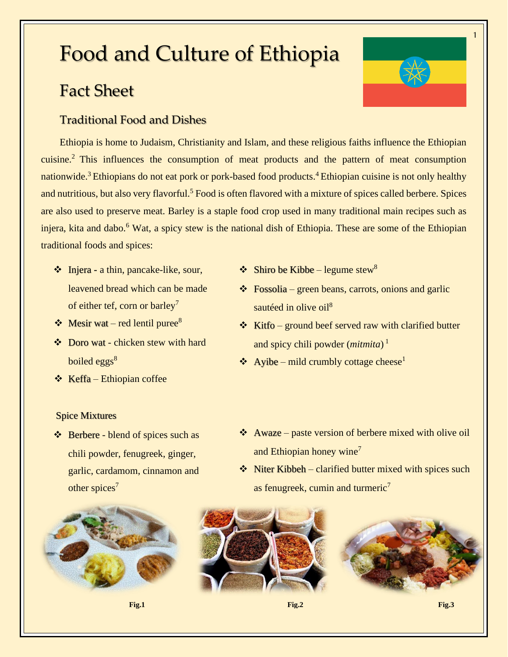# Food and Culture of Ethiopia

## Fact Sheet

### Traditional Food and Dishes

1

Ethiopia is home to Judaism, Christianity and Islam, and these religious faiths influence the Ethiopian cuisine.<sup>2</sup> This influences the consumption of meat products and the pattern of meat consumption nationwide.<sup>3</sup> Ethiopians do not eat pork or pork-based food products.<sup>4</sup> Ethiopian cuisine is not only healthy and nutritious, but also very flavorful.<sup>5</sup> Food is often flavored with a mixture of spices called berbere. Spices are also used to preserve meat. Barley is a staple food crop used in many traditional main recipes such as injera, kita and dabo.<sup>6</sup> Wat, a spicy stew is the national dish of Ethiopia. These are some of the Ethiopian traditional foods and spices:

- ❖ Injera **-** a thin, pancake-like, sour, leavened bread which can be made of either tef, corn or barley<sup>7</sup>
- **❖** Mesir wat red lentil puree<sup>8</sup>
- ❖ Doro wat chicken stew with hard boiled  $eegg<sup>8</sup>$
- $\triangleleft$  Keffa Ethiopian coffee

#### **Spice Mixtures**

❖ Berbere - blend of spices such as chili powder, fenugreek, ginger, garlic, cardamom, cinnamon and other spices<sup>7</sup>



- $\div$  Shiro be Kibbe legume stew<sup>8</sup>
- $\triangle$  Fossolia green beans, carrots, onions and garlic sautéed in olive oil<sup>8</sup>
- $\cdot$  Kitfo ground beef served raw with clarified butter and spicy chili powder (*mitmita*) 1
- $\triangle$  Ayibe mild crumbly cottage cheese<sup>1</sup>
- $\triangleleft$  Awaze paste version of berbere mixed with olive oil and Ethiopian honey wine<sup>7</sup>
- $\triangle$  Niter Kibbeh clarified butter mixed with spices such as fenugreek, cumin and turmeric<sup>7</sup>





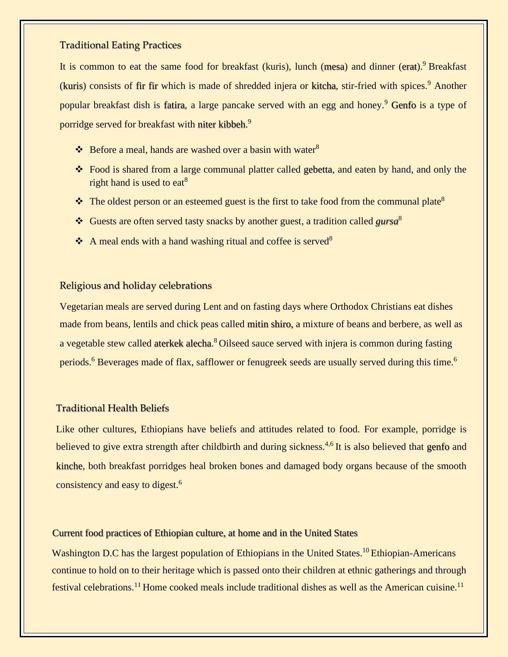#### Traditional Eating Practices

It is common to eat the same food for breakfast (kuris), lunch (mesa) and dinner (erat).<sup>9</sup> Breakfast (kuris) consists of fir fir which is made of shredded injera or kitcha, stir-fried with spices.<sup>9</sup> Another popular breakfast dish is fatira, a large pancake served with an egg and honey.<sup>9</sup> Genfo is a type of porridge served for breakfast with niter kibbeh.<sup>9</sup>

- $\triangle$  Before a meal, hands are washed over a basin with water<sup>8</sup>
- ❖ Food is shared from a large communal platter called gebetta, and eaten by hand, and only the right hand is used to eat $8$
- $\cdot \cdot$  The oldest person or an esteemed guest is the first to take food from the communal plate<sup>8</sup>
- ❖ Guests are often served tasty snacks by another guest, a tradition called *gursa*<sup>8</sup>
- A meal ends with a hand washing ritual and coffee is served<sup>8</sup>

#### Religious and holiday celebrations

Vegetarian meals are served during Lent and on fasting days where Orthodox Christians eat dishes made from beans, lentils and chick peas called mitin shiro, a mixture of beans and berbere, as well as a vegetable stew called aterkek alecha.<sup>8</sup> Oilseed sauce served with injera is common during fasting periods.<sup>6</sup> Beverages made of flax, safflower or fenugreek seeds are usually served during this time.<sup>6</sup>

#### Traditional Health Beliefs

Like other cultures, Ethiopians have beliefs and attitudes related to food. For example, porridge is believed to give extra strength after childbirth and during sickness.<sup>4,6</sup> It is also believed that genfo and kinche, both breakfast porridges heal broken bones and damaged body organs because of the smooth consistency and easy to digest.<sup>6</sup>

#### Current food practices of Ethiopian culture, at home and in the United States

Washington D.C has the largest population of Ethiopians in the United States.<sup>10</sup> Ethiopian-Americans continue to hold on to their heritage which is passed onto their children at ethnic gatherings and through festival celebrations.<sup>11</sup> Home cooked meals include traditional dishes as well as the American cuisine.<sup>11</sup>